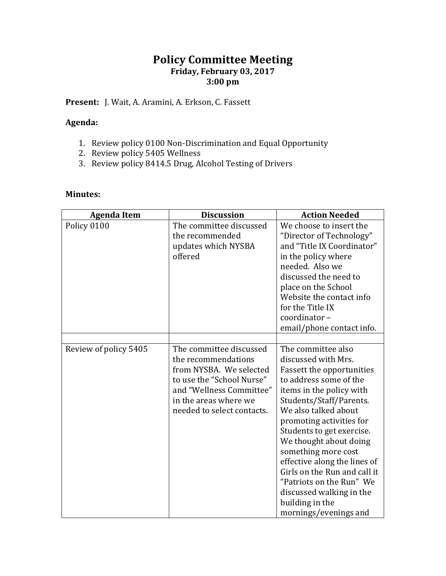## **Policy Committee Meeting Friday, February 03, 2017 3:00 pm**

**Present:** J. Wait, A. Aramini, A. Erkson, C. Fassett

## **Agenda:**

- 1. Review policy 0100 Non-Discrimination and Equal Opportunity
- 2. Review policy 5405 Wellness
- 3. Review policy 8414.5 Drug, Alcohol Testing of Drivers

## **Minutes:**

| <b>Agenda Item</b>    | <b>Discussion</b>                                                                                                                                                                         | <b>Action Needed</b>                                                                                                                                                                                                                                                                                                                                                                                                                                                 |
|-----------------------|-------------------------------------------------------------------------------------------------------------------------------------------------------------------------------------------|----------------------------------------------------------------------------------------------------------------------------------------------------------------------------------------------------------------------------------------------------------------------------------------------------------------------------------------------------------------------------------------------------------------------------------------------------------------------|
| Policy 0100           | The committee discussed<br>the recommended<br>updates which NYSBA<br>offered                                                                                                              | We choose to insert the<br>"Director of Technology"<br>and "Title IX Coordinator"<br>in the policy where<br>needed. Also we<br>discussed the need to<br>place on the School<br>Website the contact info<br>for the Title IX<br>coordinator-<br>email/phone contact info.                                                                                                                                                                                             |
| Review of policy 5405 | The committee discussed<br>the recommendations<br>from NYSBA. We selected<br>to use the "School Nurse"<br>and "Wellness Committee"<br>in the areas where we<br>needed to select contacts. | The committee also<br>discussed with Mrs.<br><b>Fassett the opportunities</b><br>to address some of the<br>items in the policy with<br>Students/Staff/Parents.<br>We also talked about<br>promoting activities for<br>Students to get exercise.<br>We thought about doing<br>something more cost<br>effective along the lines of<br>Girls on the Run and call it<br>"Patriots on the Run" We<br>discussed walking in the<br>building in the<br>mornings/evenings and |